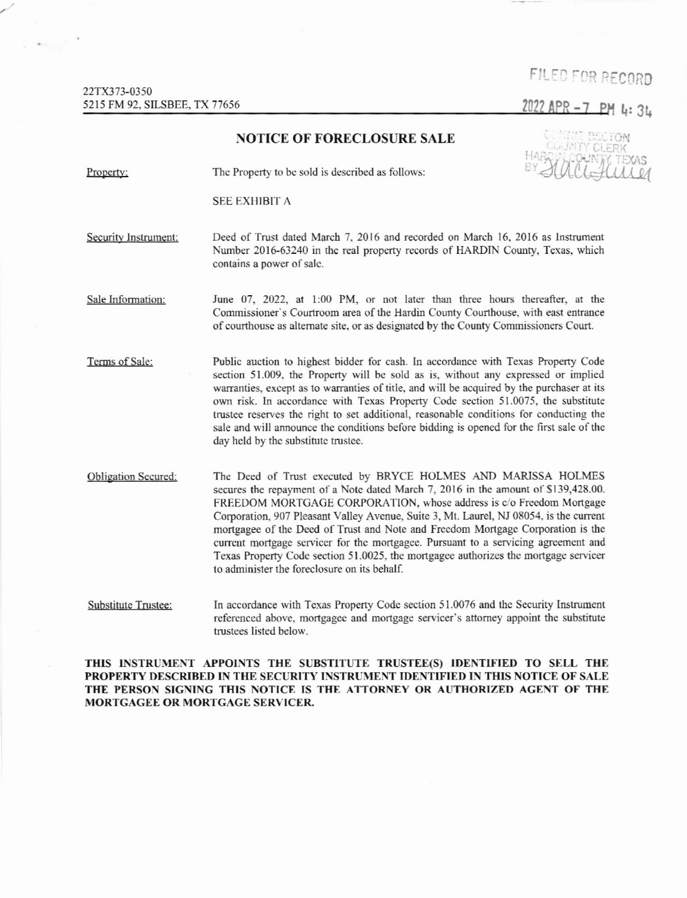## FILED FOR RECORD

2022 APR -7 PM 4:34

## NOTICE OF FORECLOSURE SALE Property: The Property to be sold is described as follows: SEE EXHIBIT A Security Instrument: Deed of Trust dated March 7, 2016 and recorded on March 16, 2016 as Instrument Number 2016-63240 in the real property records of HARDIN County, Texas, which contains a power of sale. Sale Information: June 07, 2022, at 1:00 PM, or not later than three hours thereafter, at the Commissioner's Courtroom area of the Hardin County Courthouse, with east entrance of courthouse as altemate site, or as desigrated by the County Commissioners Court. Terms of Sale: Public auction to highest bidder for cash. In accordance with Texas Property Code section 51.009, the Property will be sold as is, without any expressed or implied warranties, except as to warranties of title, and will be acquired by the purchaser at its own risk. h accordance with Tcxas Propcrty Codc section 51.0075, tbe substitute trustee reserves the right to set additional, reasonable conditions for conducting the sale and will announce the conditions before bidding is opened for the first sale of the day held by the substitute trustee. Obligation Secured: The Deed of Trust executed by BRYCE HOLMES AND MARISSA HOLMES secures the repayment of a Note dated March 7, 2016 in the amount of \$139,428.00. FREEDOM MORTGAGE CORPORATION, whose address is c/o Freedom Mortgage Corporation, 907 Pleasant Valley Avenue, Suite 3, Mt. Laurel, NJ 08054. is the current mortgagee of the Deed of Trust and Note and Freedom Mortgage Corporation is the current mortgage servicer for the mortgagee. Pursuant to a servicing agreement and Texas Property Code section 51.0025, the mortgagee authorizes the mortgage servicer to administer the foreclosure on its behalf. Hume

Substitute Trustee: In accordance with Texas Property Code section 51.0076 and the Security Instrument referenced above, mortgagee and mortgage servicer's attorney appoint the substitute trustees listed below.

THIS INSTRUMENT APPOINTS THE SUBSTITUTE TRUSTEE(S) IDENTIFIED TO SELL THE PROPERTY DESCRIBED IN THE SECURITY INSTRUMENT IDENTIFIED IN THIS NOTICE OF SALE THE PERSON SIGNING THIS NOTICE IS THE ATTORNEY OR AUTHORIZED AGENT OF THE MORTGAGEE OR MORTGAGE SERVICER.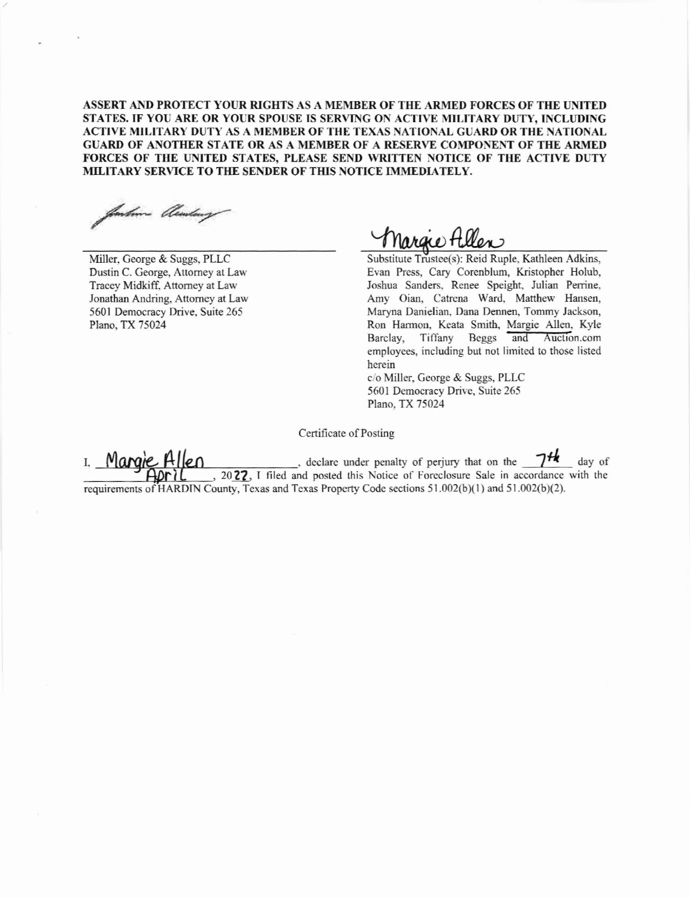ASSERT AND PROTECT YOUR RIGHTS AS A MEMBER OF THE ARMED FORCES OF THE UNITED STATES. IF YOU ARE OR YOUR SPOUSE IS SERVING ON ACTIVE MILITARY DUTY, INCLUDING ACTIVE MILITARY DUTY AS A MEMBER OF THE TEXAS NATIONAL GUARD OR THE NATIONAL GUARD OF ANOTHER STATE OR AS A MEMBER OF A RESERVE COMPONENT OF THE ARMED FORCES OF THE UNITED STATES, PLEASE SEND WRITTEN NOTICE OF THE ACTIVE DUTY MILITARY SERVICE TO THE SENDER OF THIS NOTICE IMMEDIATELY.

finkne blinding

Miller, George & Suggs, PLLC Dustin C. George, Attorney at Law Tracey Midkiff, Attorney at Law Jonathan Andring, Attorney at Law 5601 Democracy Drive, Suite 265 Plano, TX 75024

Innare Hillen

Substitute Trustee(s): Reid Ruple, Kathleen Adkins, Evan Press, Cary Corenblum, Kristopher Holub, Joshua Sanders, Renee Speight, Julian Perrine, Amy Oian, Catrena Ward, Matthew Hansen, Maryna Danielian, Dana Dennen, Tommy Jackson, Ron Harmon, Keata Smith, Margie Allen, Kyle Tiffany Beggs and Auction.com Barclay, employees, including but not limited to those listed herein

c/o Miller, George & Suggs, PLLC 5601 Democracy Drive, Suite 265 Plano, TX 75024

Certificate of Posting

, declare under penalty of perjury that on the  $\frac{7\frac{1}{16}}{20\frac{22}{16}}$  day of Margie I, requirements of HARDIN County, Texas and Texas Property Code sections 51.002(b)(1) and 51.002(b)(2).